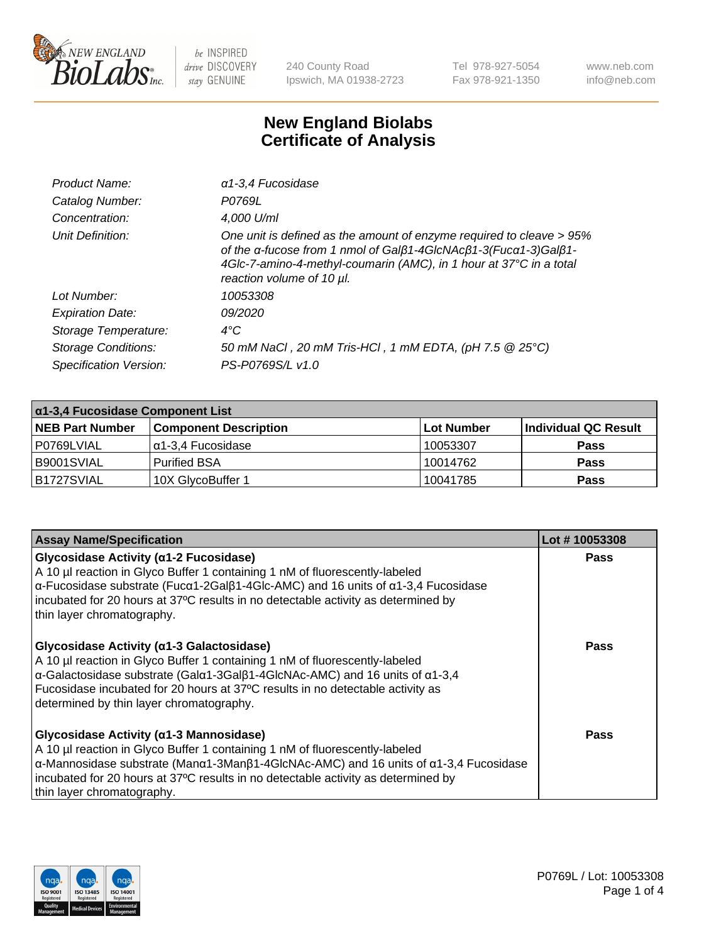

240 County Road Ipswich, MA 01938-2723 Tel 978-927-5054 Fax 978-921-1350 www.neb.com info@neb.com

## **New England Biolabs Certificate of Analysis**

| Product Name:              | $\alpha$ 1-3,4 Fucosidase                                                                                                                                                                                                                  |
|----------------------------|--------------------------------------------------------------------------------------------------------------------------------------------------------------------------------------------------------------------------------------------|
| Catalog Number:            | P0769L                                                                                                                                                                                                                                     |
| Concentration:             | 4,000 U/ml                                                                                                                                                                                                                                 |
| Unit Definition:           | One unit is defined as the amount of enzyme required to cleave > 95%<br>of the a-fucose from 1 nmol of Galß1-4GIcNAcß1-3(Fuca1-3)Galß1-<br>4Glc-7-amino-4-methyl-coumarin (AMC), in 1 hour at 37°C in a total<br>reaction volume of 10 µl. |
| Lot Number:                | 10053308                                                                                                                                                                                                                                   |
| <b>Expiration Date:</b>    | <i>09/2020</i>                                                                                                                                                                                                                             |
| Storage Temperature:       | $4^{\circ}$ C                                                                                                                                                                                                                              |
| <b>Storage Conditions:</b> | 50 mM NaCl, 20 mM Tris-HCl, 1 mM EDTA, (pH 7.5 @ 25°C)                                                                                                                                                                                     |
| Specification Version:     | PS-P0769S/L v1.0                                                                                                                                                                                                                           |

| $\alpha$ 1-3,4 Fucosidase Component List |                              |                   |                      |  |
|------------------------------------------|------------------------------|-------------------|----------------------|--|
| <b>NEB Part Number</b>                   | <b>Component Description</b> | <b>Lot Number</b> | Individual QC Result |  |
| P0769LVIAL                               | α1-3,4 Fucosidase            | 10053307          | <b>Pass</b>          |  |
| B9001SVIAL                               | <b>Purified BSA</b>          | 10014762          | <b>Pass</b>          |  |
| <b>B1727SVIAL</b>                        | 10X GlycoBuffer 1            | 10041785          | <b>Pass</b>          |  |

| <b>Assay Name/Specification</b>                                                                                                                                                                                                                                                                                                                                    | Lot #10053308 |
|--------------------------------------------------------------------------------------------------------------------------------------------------------------------------------------------------------------------------------------------------------------------------------------------------------------------------------------------------------------------|---------------|
| Glycosidase Activity (a1-2 Fucosidase)<br>A 10 µl reaction in Glyco Buffer 1 containing 1 nM of fluorescently-labeled<br>$\alpha$ -Fucosidase substrate (Fuc $\alpha$ 1-2Gal $\beta$ 1-4Glc-AMC) and 16 units of $\alpha$ 1-3,4 Fucosidase<br>incubated for 20 hours at 37°C results in no detectable activity as determined by<br>thin layer chromatography.      | <b>Pass</b>   |
| Glycosidase Activity (α1-3 Galactosidase)<br>A 10 µl reaction in Glyco Buffer 1 containing 1 nM of fluorescently-labeled<br>α-Galactosidase substrate (Galα1-3Galβ1-4GlcNAc-AMC) and 16 units of α1-3,4<br>Fucosidase incubated for 20 hours at 37°C results in no detectable activity as<br>determined by thin layer chromatography.                              | Pass          |
| Glycosidase Activity (α1-3 Mannosidase)<br>A 10 µl reaction in Glyco Buffer 1 containing 1 nM of fluorescently-labeled<br>$\alpha$ -Mannosidase substrate (Man $\alpha$ 1-3Man $\beta$ 1-4GlcNAc-AMC) and 16 units of $\alpha$ 1-3,4 Fucosidase<br>incubated for 20 hours at 37°C results in no detectable activity as determined by<br>thin layer chromatography. | <b>Pass</b>   |

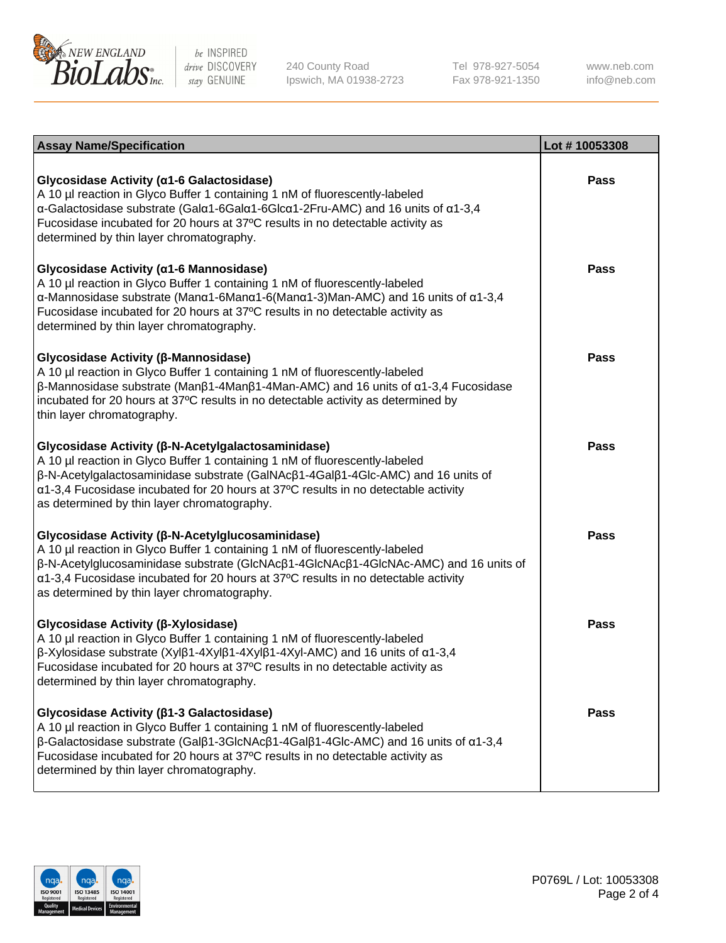

240 County Road Ipswich, MA 01938-2723 Tel 978-927-5054 Fax 978-921-1350

www.neb.com info@neb.com

| <b>Assay Name/Specification</b>                                                                                                                                                                                                                                                                                                                                                    | Lot #10053308 |
|------------------------------------------------------------------------------------------------------------------------------------------------------------------------------------------------------------------------------------------------------------------------------------------------------------------------------------------------------------------------------------|---------------|
| Glycosidase Activity (α1-6 Galactosidase)<br>A 10 µl reaction in Glyco Buffer 1 containing 1 nM of fluorescently-labeled<br>α-Galactosidase substrate (Galα1-6Galα1-6Glcα1-2Fru-AMC) and 16 units of α1-3,4<br>Fucosidase incubated for 20 hours at 37°C results in no detectable activity as<br>determined by thin layer chromatography.                                          | Pass          |
| Glycosidase Activity (α1-6 Mannosidase)<br>A 10 µl reaction in Glyco Buffer 1 containing 1 nM of fluorescently-labeled<br>$\alpha$ -Mannosidase substrate (Man $\alpha$ 1-6Man $\alpha$ 1-6(Man $\alpha$ 1-3)Man-AMC) and 16 units of $\alpha$ 1-3,4<br>Fucosidase incubated for 20 hours at 37°C results in no detectable activity as<br>determined by thin layer chromatography. | Pass          |
| Glycosidase Activity (β-Mannosidase)<br>A 10 µl reaction in Glyco Buffer 1 containing 1 nM of fluorescently-labeled<br>$\beta$ -Mannosidase substrate (Μanβ1-4Μanβ1-4Μan-AMC) and 16 units of α1-3,4 Fucosidase<br>incubated for 20 hours at 37°C results in no detectable activity as determined by<br>thin layer chromatography.                                                 | <b>Pass</b>   |
| Glycosidase Activity (β-N-Acetylgalactosaminidase)<br>A 10 µl reaction in Glyco Buffer 1 containing 1 nM of fluorescently-labeled<br>β-N-Acetylgalactosaminidase substrate (GalNAcβ1-4Galβ1-4Glc-AMC) and 16 units of<br>α1-3,4 Fucosidase incubated for 20 hours at 37°C results in no detectable activity<br>as determined by thin layer chromatography.                         | <b>Pass</b>   |
| Glycosidase Activity (β-N-Acetylglucosaminidase)<br>A 10 µl reaction in Glyco Buffer 1 containing 1 nM of fluorescently-labeled<br>β-N-Acetylglucosaminidase substrate (GlcNAcβ1-4GlcNAcβ1-4GlcNAc-AMC) and 16 units of<br>$\alpha$ 1-3,4 Fucosidase incubated for 20 hours at 37°C results in no detectable activity<br>as determined by thin layer chromatography.               | <b>Pass</b>   |
| Glycosidase Activity (β-Xylosidase)<br>A 10 µl reaction in Glyco Buffer 1 containing 1 nM of fluorescently-labeled<br>$\beta$ -Xylosidase substrate (Xylβ1-4Xylβ1-4Xylβ1-4Xyl-AMC) and 16 units of $\alpha$ 1-3,4<br>Fucosidase incubated for 20 hours at 37°C results in no detectable activity as<br>determined by thin layer chromatography.                                    | Pass          |
| Glycosidase Activity (β1-3 Galactosidase)<br>A 10 µl reaction in Glyco Buffer 1 containing 1 nM of fluorescently-labeled<br>$\beta$ -Galactosidase substrate (Galβ1-3GlcNAcβ1-4Galβ1-4Glc-AMC) and 16 units of α1-3,4<br>Fucosidase incubated for 20 hours at 37°C results in no detectable activity as<br>determined by thin layer chromatography.                                | <b>Pass</b>   |

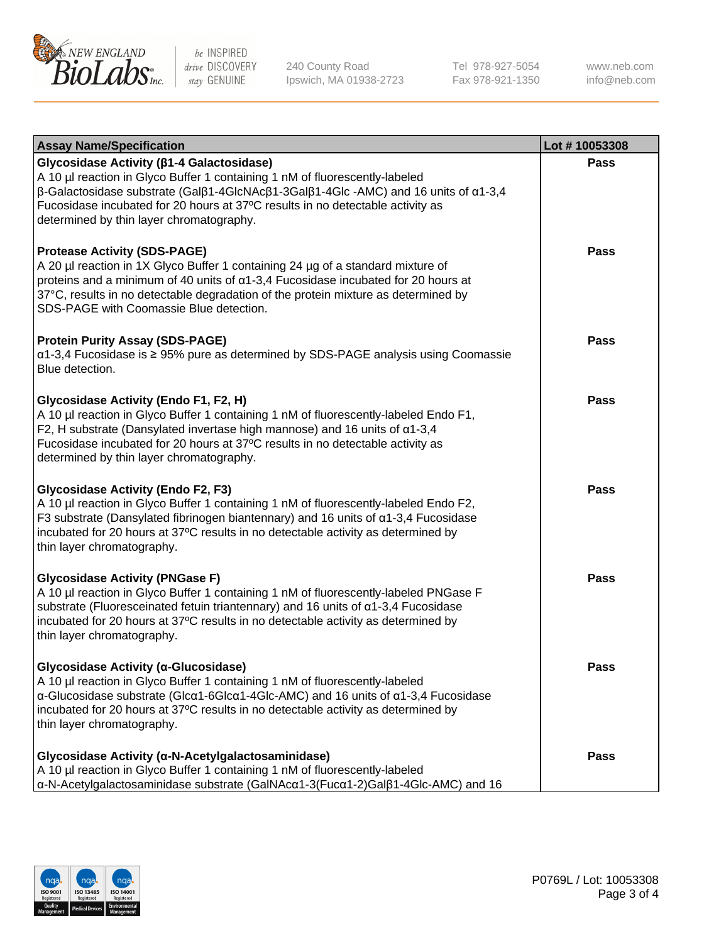

240 County Road Ipswich, MA 01938-2723 Tel 978-927-5054 Fax 978-921-1350 www.neb.com info@neb.com

| <b>Assay Name/Specification</b>                                                                                                                                                                                                                                                                                                                               | Lot #10053308 |
|---------------------------------------------------------------------------------------------------------------------------------------------------------------------------------------------------------------------------------------------------------------------------------------------------------------------------------------------------------------|---------------|
| Glycosidase Activity ( $\beta$ 1-4 Galactosidase)<br>A 10 µl reaction in Glyco Buffer 1 containing 1 nM of fluorescently-labeled<br>$\beta$ -Galactosidase substrate (Galβ1-4GlcNAcβ1-3Galβ1-4Glc -AMC) and 16 units of α1-3,4<br>Fucosidase incubated for 20 hours at 37°C results in no detectable activity as<br>determined by thin layer chromatography.  | <b>Pass</b>   |
| <b>Protease Activity (SDS-PAGE)</b><br>A 20 µl reaction in 1X Glyco Buffer 1 containing 24 µg of a standard mixture of<br>proteins and a minimum of 40 units of α1-3,4 Fucosidase incubated for 20 hours at<br>37°C, results in no detectable degradation of the protein mixture as determined by<br>SDS-PAGE with Coomassie Blue detection.                  | <b>Pass</b>   |
| <b>Protein Purity Assay (SDS-PAGE)</b><br>α1-3,4 Fucosidase is ≥ 95% pure as determined by SDS-PAGE analysis using Coomassie<br>Blue detection.                                                                                                                                                                                                               | <b>Pass</b>   |
| Glycosidase Activity (Endo F1, F2, H)<br>A 10 µl reaction in Glyco Buffer 1 containing 1 nM of fluorescently-labeled Endo F1,<br>F2, H substrate (Dansylated invertase high mannose) and 16 units of $\alpha$ 1-3,4<br>Fucosidase incubated for 20 hours at 37°C results in no detectable activity as<br>determined by thin layer chromatography.             | Pass          |
| <b>Glycosidase Activity (Endo F2, F3)</b><br>A 10 µl reaction in Glyco Buffer 1 containing 1 nM of fluorescently-labeled Endo F2,<br>F3 substrate (Dansylated fibrinogen biantennary) and 16 units of $\alpha$ 1-3,4 Fucosidase<br>incubated for 20 hours at 37°C results in no detectable activity as determined by<br>thin layer chromatography.            | <b>Pass</b>   |
| <b>Glycosidase Activity (PNGase F)</b><br>A 10 µl reaction in Glyco Buffer 1 containing 1 nM of fluorescently-labeled PNGase F<br>substrate (Fluoresceinated fetuin triantennary) and 16 units of α1-3,4 Fucosidase<br>incubated for 20 hours at 37°C results in no detectable activity as determined by<br>thin layer chromatography.                        | <b>Pass</b>   |
| Glycosidase Activity (α-Glucosidase)<br>A 10 µl reaction in Glyco Buffer 1 containing 1 nM of fluorescently-labeled<br>$\alpha$ -Glucosidase substrate (Glc $\alpha$ 1-6Glc $\alpha$ 1-4Glc-AMC) and 16 units of $\alpha$ 1-3,4 Fucosidase<br>incubated for 20 hours at 37°C results in no detectable activity as determined by<br>thin layer chromatography. | Pass          |
| Glycosidase Activity (α-N-Acetylgalactosaminidase)<br>A 10 µl reaction in Glyco Buffer 1 containing 1 nM of fluorescently-labeled<br>α-N-Acetylgalactosaminidase substrate (GalNAcα1-3(Fucα1-2)Galβ1-4Glc-AMC) and 16                                                                                                                                         | <b>Pass</b>   |